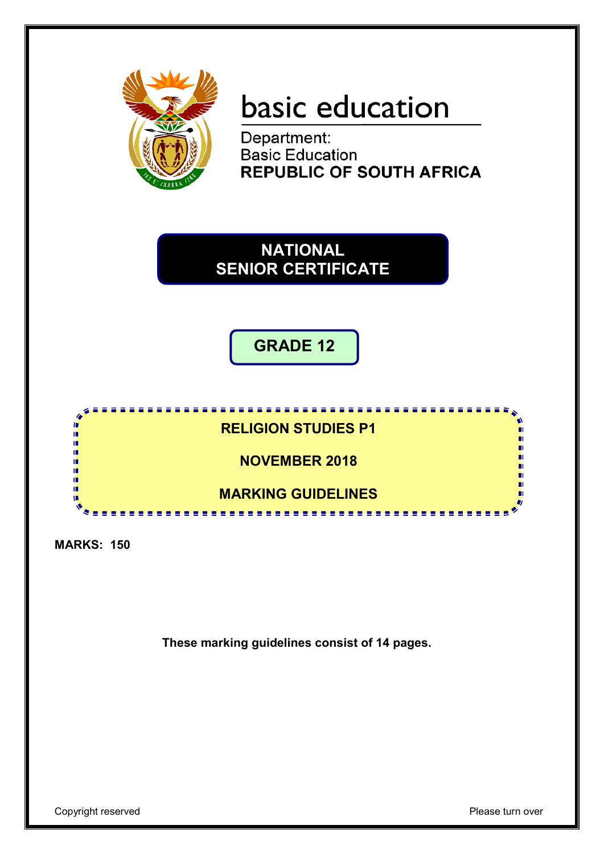

# basic education

Department: **Basic Education REPUBLIC OF SOUTH AFRICA** 

**NATIONAL SENIOR CERTIFICATE**

**GRADE 12**



**MARKS: 150**

**These marking guidelines consist of 14 pages.**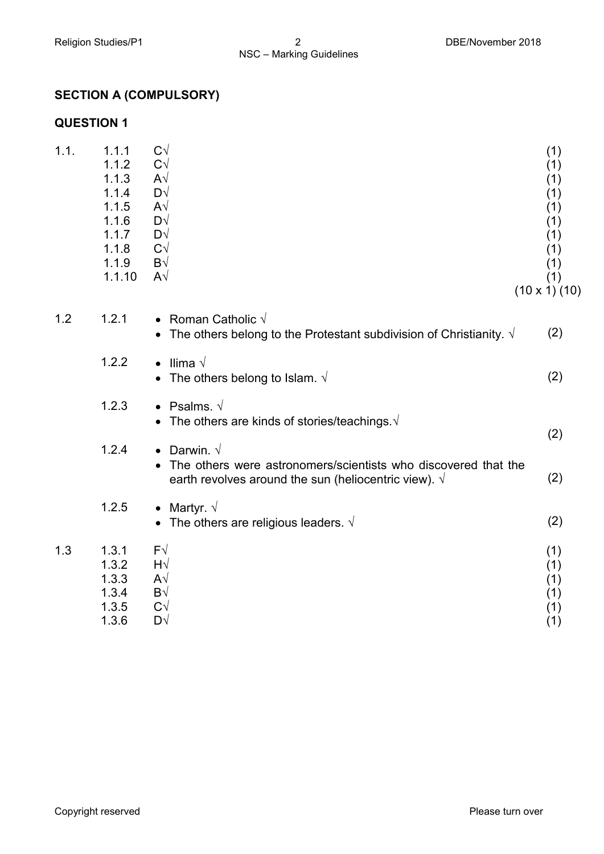### **SECTION A (COMPULSORY)**

#### **QUESTION 1**

| 1.1. | 1.1.1<br>1.1.2<br>1.1.3<br>1.1.4<br>1.1.5<br>1.1.6<br>1.1.7<br>1.1.8<br>1.1.9<br>1.1.10 | $C\sqrt{}$<br>$C\sqrt{}$<br>$A\sqrt{}$<br>$D\sqrt{}$<br>$A\sqrt{}$<br>$D\sqrt{}$<br>$D\sqrt{}$<br>$C\sqrt{}$<br>$B\sqrt{}$<br>$A\sqrt{}$                | (1)<br>(1)<br>(1)<br>(1)<br>(1)<br>(1)<br>(1)<br>(1)<br>(1)<br>(1)<br>$(10 \times 1)$ $(10)$ |
|------|-----------------------------------------------------------------------------------------|---------------------------------------------------------------------------------------------------------------------------------------------------------|----------------------------------------------------------------------------------------------|
| 1.2  | 1.2.1                                                                                   | • Roman Catholic $\sqrt{}$<br>• The others belong to the Protestant subdivision of Christianity. $\sqrt{ }$                                             | (2)                                                                                          |
|      | 1.2.2                                                                                   | llima √<br>$\bullet$<br>• The others belong to Islam. $\sqrt{ }$                                                                                        | (2)                                                                                          |
|      | 1.2.3                                                                                   | • Psalms. $\sqrt{ }$<br>The others are kinds of stories/teachings. $\sqrt{ }$                                                                           |                                                                                              |
|      | 1.2.4                                                                                   | • Darwin. $\sqrt{ }$<br>The others were astronomers/scientists who discovered that the<br>earth revolves around the sun (heliocentric view). $\sqrt{ }$ | (2)<br>(2)                                                                                   |
|      | 1.2.5                                                                                   | • Martyr. $\sqrt{ }$<br>• The others are religious leaders. $\sqrt{ }$                                                                                  | (2)                                                                                          |
| 1.3  | 1.3.1<br>1.3.2<br>1.3.3<br>1.3.4<br>1.3.5<br>1.3.6                                      | $F\sqrt{}$<br>$H\sqrt{}$<br>$A\sqrt{}$<br>$B\sqrt{}$<br>$C\sqrt{}$<br>$D\sqrt{}$                                                                        | (1)<br>(1)<br>(1)<br>(1)<br>(1)<br>(1)                                                       |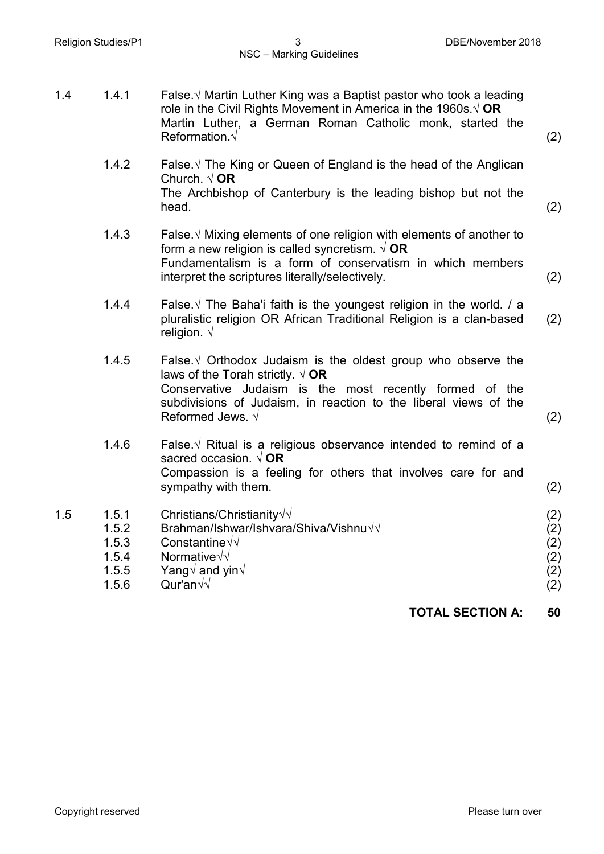| 1.4 | 1.4.1                                              | False. $\sqrt{ }$ Martin Luther King was a Baptist pastor who took a leading<br>role in the Civil Rights Movement in America in the 1960s $\sqrt{OR}$<br>Martin Luther, a German Roman Catholic monk, started the<br>Reformation $\sqrt{}$                                   | (2)                                    |
|-----|----------------------------------------------------|------------------------------------------------------------------------------------------------------------------------------------------------------------------------------------------------------------------------------------------------------------------------------|----------------------------------------|
|     | 1.4.2                                              | False. $\sqrt{ }$ The King or Queen of England is the head of the Anglican<br>Church. $\sqrt{OR}$<br>The Archbishop of Canterbury is the leading bishop but not the<br>head.                                                                                                 | (2)                                    |
|     | 1.4.3                                              | False. $\sqrt{M}$ Mixing elements of one religion with elements of another to<br>form a new religion is called syncretism. $\sqrt{OR}$<br>Fundamentalism is a form of conservatism in which members<br>interpret the scriptures literally/selectively.                       | (2)                                    |
|     | 1.4.4                                              | False. $\sqrt{ }$ The Baha'i faith is the youngest religion in the world. / a<br>pluralistic religion OR African Traditional Religion is a clan-based<br>religion. $\sqrt{ }$                                                                                                | (2)                                    |
|     | 1.4.5                                              | False $\sqrt{ }$ Orthodox Judaism is the oldest group who observe the<br>laws of the Torah strictly. $\sqrt{OR}$<br>Conservative Judaism is the most recently formed of the<br>subdivisions of Judaism, in reaction to the liberal views of the<br>Reformed Jews. $\sqrt{ }$ | (2)                                    |
|     | 1.4.6                                              | False $\sqrt{ }$ Ritual is a religious observance intended to remind of a<br>sacred occasion. $\sqrt{OR}$<br>Compassion is a feeling for others that involves care for and<br>sympathy with them.                                                                            | (2)                                    |
| 1.5 | 1.5.1<br>1.5.2<br>1.5.3<br>1.5.4<br>1.5.5<br>1.5.6 | Christians/Christianity $\sqrt{\sqrt{}}$<br>Brahman/Ishwar/Ishvara/Shiva/Vishnu $\sqrt{d}$<br>Constantine√√<br>Normative $\sqrt{\sqrt{2}}$<br>Yang $\sqrt{ }$ and yin $\sqrt{ }$<br>Qur'an $\sqrt{v}$                                                                        | (2)<br>(2)<br>(2)<br>(2)<br>(2)<br>(2) |
|     |                                                    | <b>TOTAL SECTION A:</b>                                                                                                                                                                                                                                                      | 50                                     |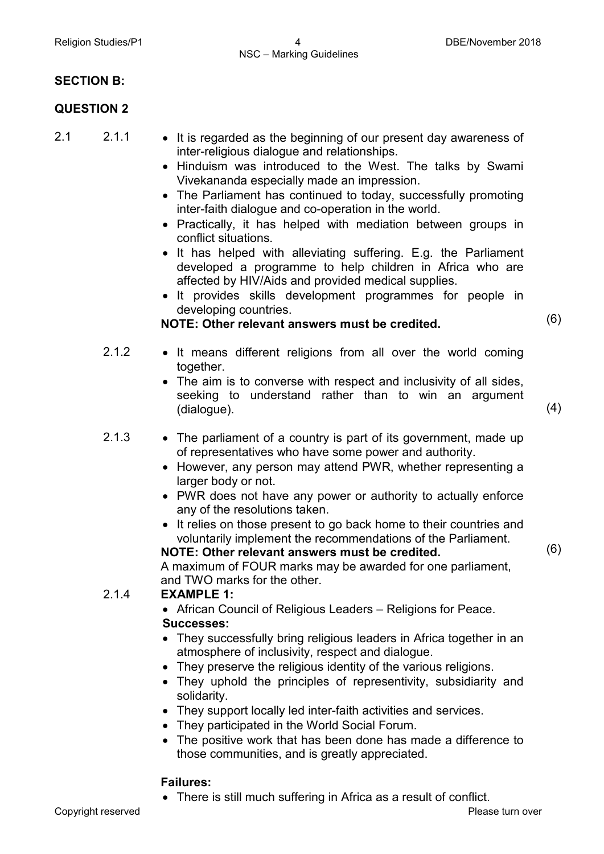#### **SECTION B:**

#### **QUESTION 2**

- 
- 2.1 2.1.1 It is regarded as the beginning of our present day awareness of inter-religious dialogue and relationships.
	- Hinduism was introduced to the West. The talks by Swami Vivekananda especially made an impression.
	- The Parliament has continued to today, successfully promoting inter-faith dialogue and co-operation in the world.
	- Practically, it has helped with mediation between groups in conflict situations.
	- It has helped with alleviating suffering. E.g. the Parliament developed a programme to help children in Africa who are affected by HIV/Aids and provided medical supplies.
	- It provides skills development programmes for people in developing countries.

**NOTE: Other relevant answers must be credited.** (6)

- 2.1.2 It means different religions from all over the world coming together.
	- The aim is to converse with respect and inclusivity of all sides, seeking to understand rather than to win an argument  $(dialogue)$ .  $(4)$ 
		-
- 2.1.3 The parliament of a country is part of its government, made up of representatives who have some power and authority.
	- However, any person may attend PWR, whether representing a larger body or not.
	- PWR does not have any power or authority to actually enforce any of the resolutions taken.
	- It relies on those present to go back home to their countries and voluntarily implement the recommendations of the Parliament.

**NOTE: Other relevant answers must be credited.**

(6)

A maximum of FOUR marks may be awarded for one parliament, and TWO marks for the other.

#### 2.1.4 **EXAMPLE 1:**

- African Council of Religious Leaders Religions for Peace. **Successes:**
- They successfully bring religious leaders in Africa together in an atmosphere of inclusivity, respect and dialogue.
- They preserve the religious identity of the various religions.
- They uphold the principles of representivity, subsidiarity and solidarity.
- They support locally led inter-faith activities and services.
- They participated in the World Social Forum.
- The positive work that has been done has made a difference to those communities, and is greatly appreciated.

#### **Failures:**

• There is still much suffering in Africa as a result of conflict.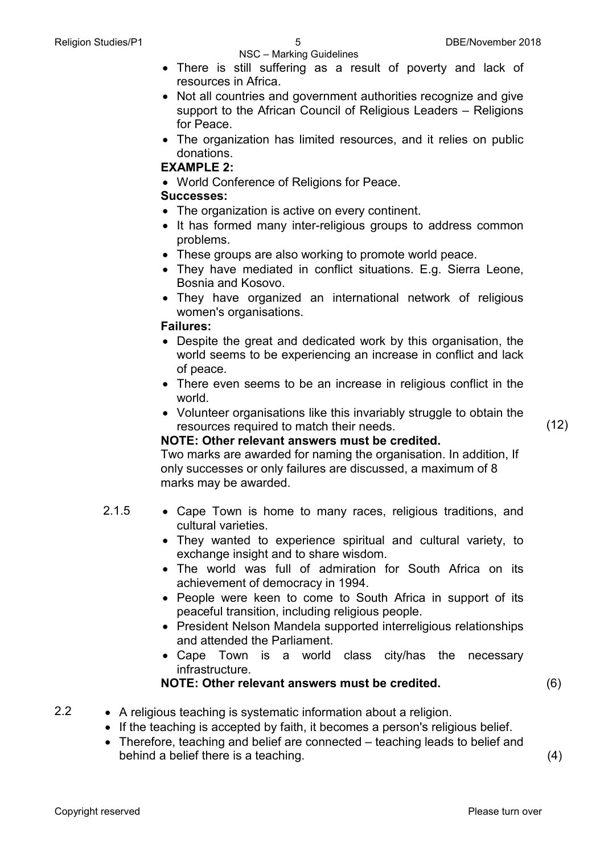NSC – Marking Guidelines

- There is still suffering as a result of poverty and lack of resources in Africa.
- Not all countries and government authorities recognize and give support to the African Council of Religious Leaders – Religions for Peace.
- The organization has limited resources, and it relies on public donations.

#### **EXAMPLE 2:**

• World Conference of Religions for Peace.

#### **Successes:**

- The organization is active on every continent.
- It has formed many inter-religious groups to address common problems.
- These groups are also working to promote world peace.
- They have mediated in conflict situations. E.g. Sierra Leone, Bosnia and Kosovo.
- They have organized an international network of religious women's organisations.

#### **Failures:**

- Despite the great and dedicated work by this organisation, the world seems to be experiencing an increase in conflict and lack of peace.
- There even seems to be an increase in religious conflict in the world.
- Volunteer organisations like this invariably struggle to obtain the resources required to match their needs.

#### **NOTE: Other relevant answers must be credited.**

Two marks are awarded for naming the organisation. In addition, If only successes or only failures are discussed, a maximum of 8 marks may be awarded.

- 2.1.5 Cape Town is home to many races, religious traditions, and cultural varieties.
	- They wanted to experience spiritual and cultural variety, to exchange insight and to share wisdom.
	- The world was full of admiration for South Africa on its achievement of democracy in 1994.
	- People were keen to come to South Africa in support of its peaceful transition, including religious people.
	- President Nelson Mandela supported interreligious relationships and attended the Parliament.
	- Cape Town is a world class city/has the necessary infrastructure.

#### **NOTE: Other relevant answers must be credited.** (6)

- 2.2 A religious teaching is systematic information about a religion.
	- If the teaching is accepted by faith, it becomes a person's religious belief.
	- Therefore, teaching and belief are connected teaching leads to belief and behind a belief there is a teaching. (4)

(12)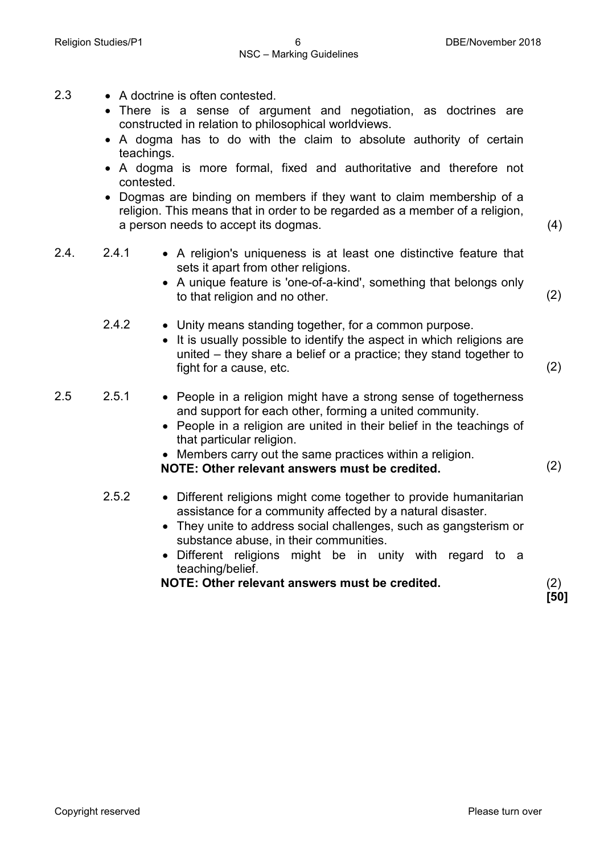- 2.3 A doctrine is often contested.
	- There is a sense of argument and negotiation, as doctrines are constructed in relation to philosophical worldviews.
	- A dogma has to do with the claim to absolute authority of certain teachings.
	- A dogma is more formal, fixed and authoritative and therefore not contested.
	- Dogmas are binding on members if they want to claim membership of a religion. This means that in order to be regarded as a member of a religion, a person needs to accept its dogmas. (4)
- 2.4. 2.4.1 A religion's uniqueness is at least one distinctive feature that sets it apart from other religions. • A unique feature is 'one-of-a-kind', something that belongs only to that religion and no other. (2) 2.4.2 • Unity means standing together, for a common purpose. • It is usually possible to identify the aspect in which religions are united – they share a belief or a practice; they stand together to fight for a cause, etc. (2) 2.5 2.5.1 • People in a religion might have a strong sense of togetherness and support for each other, forming a united community. • People in a religion are united in their belief in the teachings of that particular religion. • Members carry out the same practices within a religion. **NOTE: Other relevant answers must be credited.** (2) 2.5.2 • Different religions might come together to provide humanitarian assistance for a community affected by a natural disaster. • They unite to address social challenges, such as gangsterism or substance abuse, in their communities. • Different religions might be in unity with regard to a
	- teaching/belief.

**NOTE: Other relevant answers must be credited.** (2)

**[50]**

Copyright reserved **Please turn over the Copyright reserved** Please turn over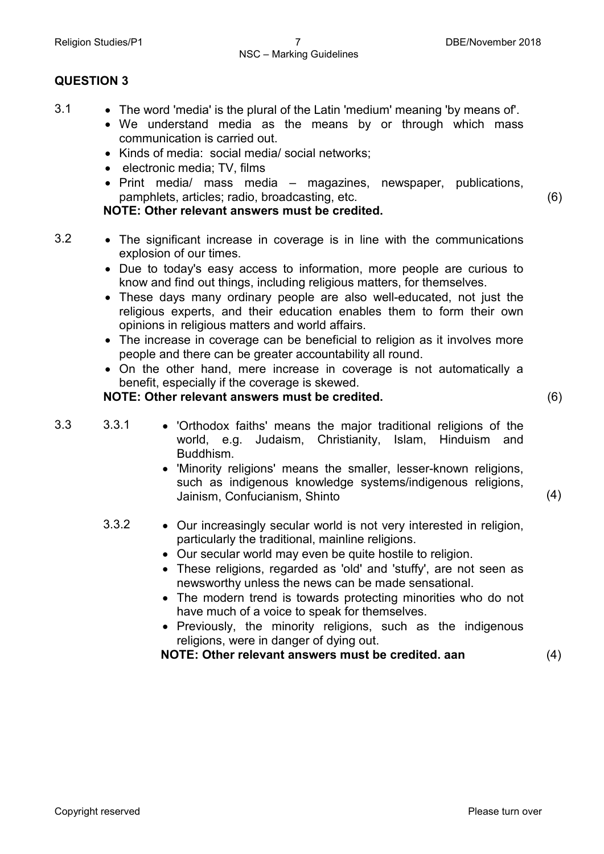#### NSC – Marking Guidelines

#### **QUESTION 3**

- 3.1 The word 'media' is the plural of the Latin 'medium' meaning 'by means of'.
	- We understand media as the means by or through which mass communication is carried out.
	- Kinds of media: social media/ social networks;
	- electronic media; TV, films
	- Print media/ mass media magazines, newspaper, publications, pamphlets, articles; radio, broadcasting, etc.

**NOTE: Other relevant answers must be credited.**

- 3.2 The significant increase in coverage is in line with the communications explosion of our times.
	- Due to today's easy access to information, more people are curious to know and find out things, including religious matters, for themselves.
	- These days many ordinary people are also well-educated, not just the religious experts, and their education enables them to form their own opinions in religious matters and world affairs.
	- The increase in coverage can be beneficial to religion as it involves more people and there can be greater accountability all round.
	- On the other hand, mere increase in coverage is not automatically a benefit, especially if the coverage is skewed.

#### **NOTE: Other relevant answers must be credited.** (6)

(4)

(6)

- 3.3 3.3.1 'Orthodox faiths' means the major traditional religions of the world, e.g. Judaism, Christianity, Islam, Hinduism and Buddhism.
	- 'Minority religions' means the smaller, lesser-known religions, such as indigenous knowledge systems/indigenous religions, Jainism, Confucianism, Shinto
	- 3.3.2 Our increasingly secular world is not very interested in religion, particularly the traditional, mainline religions.
		- Our secular world may even be quite hostile to religion.
		- These religions, regarded as 'old' and 'stuffy', are not seen as newsworthy unless the news can be made sensational.
		- The modern trend is towards protecting minorities who do not have much of a voice to speak for themselves.
		- Previously, the minority religions, such as the indigenous religions, were in danger of dying out.

**NOTE: Other relevant answers must be credited. aan** (4)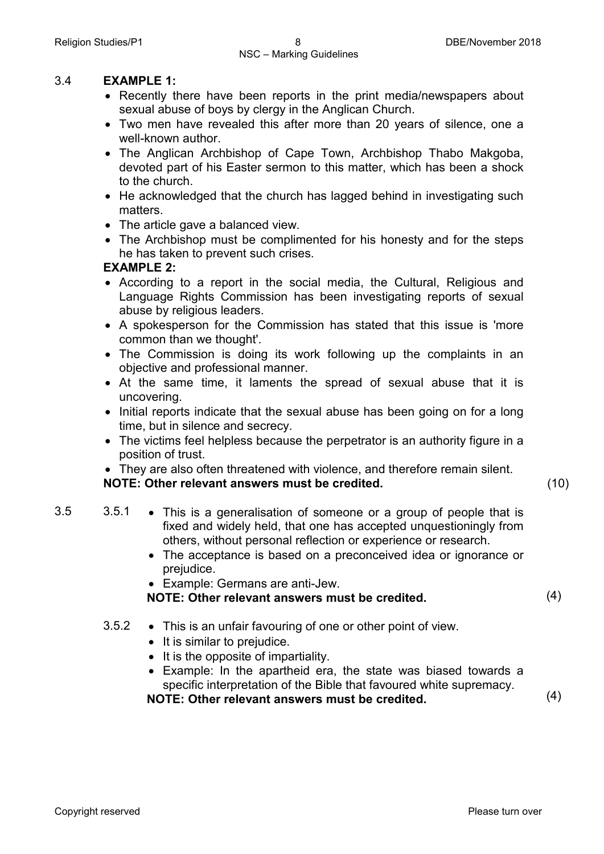#### 3.4 **EXAMPLE 1:**

- Recently there have been reports in the print media/newspapers about sexual abuse of boys by clergy in the Anglican Church.
- Two men have revealed this after more than 20 years of silence, one a well-known author.
- The Anglican Archbishop of Cape Town, Archbishop Thabo Makgoba, devoted part of his Easter sermon to this matter, which has been a shock to the church.
- He acknowledged that the church has lagged behind in investigating such matters.
- The article gave a balanced view.
- The Archbishop must be complimented for his honesty and for the steps he has taken to prevent such crises.

#### **EXAMPLE 2:**

- According to a report in the social media, the Cultural, Religious and Language Rights Commission has been investigating reports of sexual abuse by religious leaders.
- A spokesperson for the Commission has stated that this issue is 'more common than we thought'.
- The Commission is doing its work following up the complaints in an objective and professional manner.
- At the same time, it laments the spread of sexual abuse that it is uncovering.
- Initial reports indicate that the sexual abuse has been going on for a long time, but in silence and secrecy.
- The victims feel helpless because the perpetrator is an authority figure in a position of trust.

• They are also often threatened with violence, and therefore remain silent. **NOTE: Other relevant answers must be credited.** (10)

- 3.5 3.5.1 This is a generalisation of someone or a group of people that is fixed and widely held, that one has accepted unquestioningly from others, without personal reflection or experience or research.
	- The acceptance is based on a preconceived idea or ignorance or prejudice.
	- Example: Germans are anti-Jew.

### **NOTE: Other relevant answers must be credited.** (4)

- 3.5.2 This is an unfair favouring of one or other point of view.
	- It is similar to prejudice.
	- It is the opposite of impartiality.
	- Example: In the apartheid era, the state was biased towards a specific interpretation of the Bible that favoured white supremacy. **NOTE: Other relevant answers must be credited.** (4)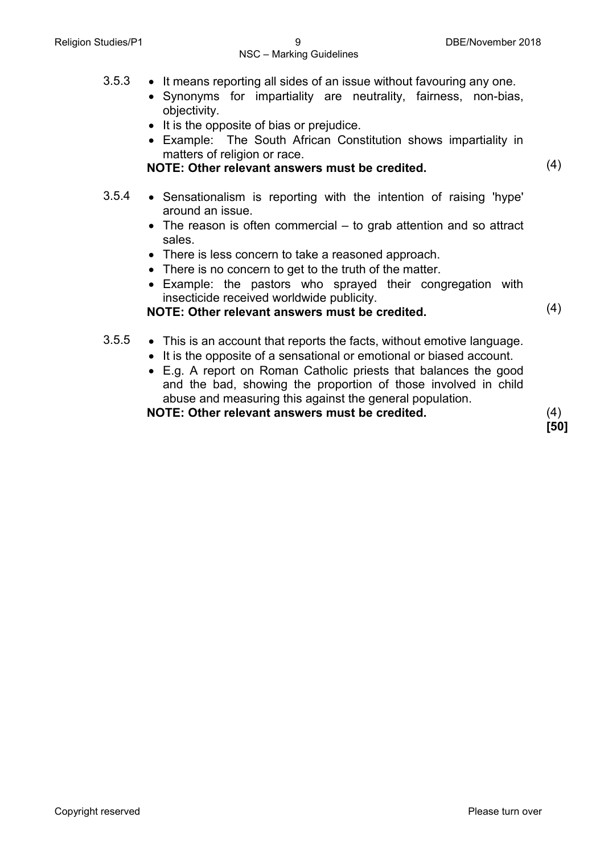- 3.5.3 It means reporting all sides of an issue without favouring any one.
	- Synonyms for impartiality are neutrality, fairness, non-bias, objectivity.
	- It is the opposite of bias or prejudice.
	- Example: The South African Constitution shows impartiality in matters of religion or race.

**NOTE: Other relevant answers must be credited.** (4)

- 3.5.4 Sensationalism is reporting with the intention of raising 'hype' around an issue.
	- The reason is often commercial to grab attention and so attract sales.
	- There is less concern to take a reasoned approach.
	- There is no concern to get to the truth of the matter.
	- Example: the pastors who sprayed their congregation with insecticide received worldwide publicity.
	- **NOTE: Other relevant answers must be credited.** (4)
- 3.5.5 This is an account that reports the facts, without emotive language.
	- It is the opposite of a sensational or emotional or biased account.
	- E.g. A report on Roman Catholic priests that balances the good and the bad, showing the proportion of those involved in child abuse and measuring this against the general population.

**NOTE: Other relevant answers must be credited.** (4)

**[50]**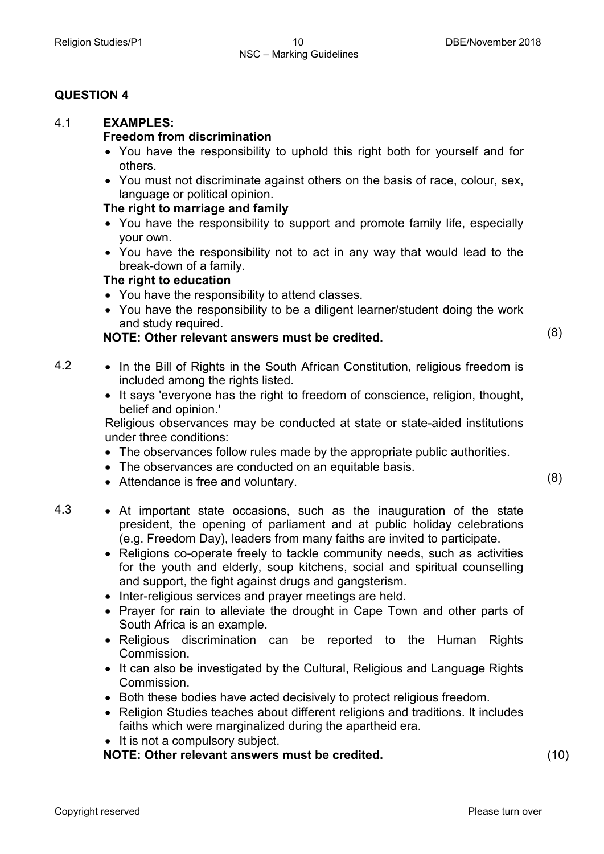#### **QUESTION 4**

#### 4.1 **EXAMPLES:**

#### **Freedom from discrimination**

- You have the responsibility to uphold this right both for yourself and for others.
- You must not discriminate against others on the basis of race, colour, sex, language or political opinion.

#### **The right to marriage and family**

- You have the responsibility to support and promote family life, especially your own.
- You have the responsibility not to act in any way that would lead to the break-down of a family.

#### **The right to education**

- You have the responsibility to attend classes.
- You have the responsibility to be a diligent learner/student doing the work and study required.

### **NOTE: Other relevant answers must be credited.** (8)

4.2 • In the Bill of Rights in the South African Constitution, religious freedom is included among the rights listed.

> • It says 'everyone has the right to freedom of conscience, religion, thought, belief and opinion.'

> Religious observances may be conducted at state or state-aided institutions under three conditions:

- The observances follow rules made by the appropriate public authorities.
- The observances are conducted on an equitable basis.
- Attendance is free and voluntary. (8)
- 
- 4.3 At important state occasions, such as the inauguration of the state president, the opening of parliament and at public holiday celebrations (e.g. Freedom Day), leaders from many faiths are invited to participate.
	- Religions co-operate freely to tackle community needs, such as activities for the youth and elderly, soup kitchens, social and spiritual counselling and support, the fight against drugs and gangsterism.
	- Inter-religious services and prayer meetings are held.
	- Prayer for rain to alleviate the drought in Cape Town and other parts of South Africa is an example.
	- Religious discrimination can be reported to the Human Rights Commission.
	- It can also be investigated by the Cultural, Religious and Language Rights Commission.
	- Both these bodies have acted decisively to protect religious freedom.
	- Religion Studies teaches about different religions and traditions. It includes faiths which were marginalized during the apartheid era.
	- It is not a compulsory subject.

**NOTE: Other relevant answers must be credited.** (10)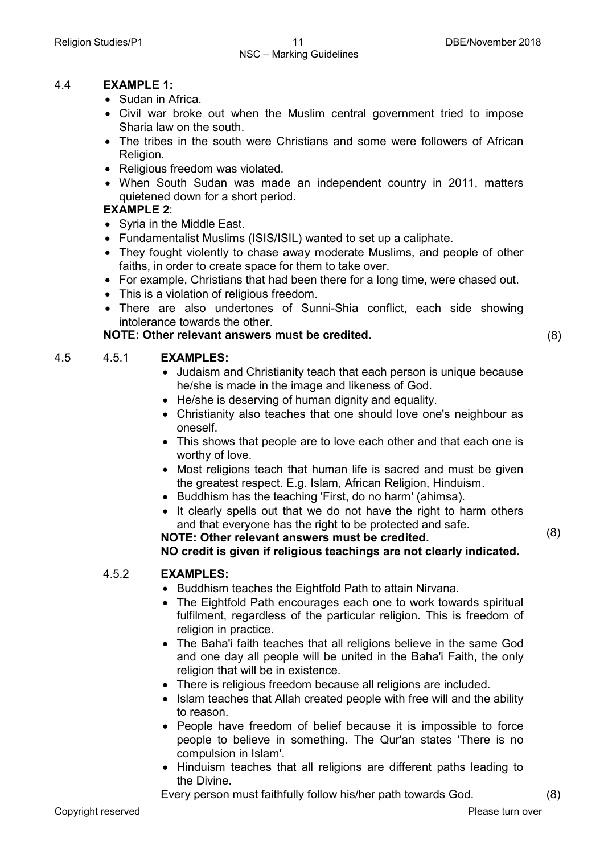#### 4.4 **EXAMPLE 1:**

- Sudan in Africa.
- Civil war broke out when the Muslim central government tried to impose Sharia law on the south.
- The tribes in the south were Christians and some were followers of African Religion.
- Religious freedom was violated.
- When South Sudan was made an independent country in 2011, matters quietened down for a short period.

#### **EXAMPLE 2**:

- Syria in the Middle East.
- Fundamentalist Muslims (ISIS/ISIL) wanted to set up a caliphate.
- They fought violently to chase away moderate Muslims, and people of other faiths, in order to create space for them to take over.
- For example, Christians that had been there for a long time, were chased out.
- This is a violation of religious freedom.
- There are also undertones of Sunni-Shia conflict, each side showing intolerance towards the other.

#### **NOTE: Other relevant answers must be credited.** (8)

#### 4.5 4.5.1 **EXAMPLES:**

- Judaism and Christianity teach that each person is unique because he/she is made in the image and likeness of God.
- He/she is deserving of human dignity and equality.
- Christianity also teaches that one should love one's neighbour as oneself.
- This shows that people are to love each other and that each one is worthy of love.
- Most religions teach that human life is sacred and must be given the greatest respect. E.g. Islam, African Religion, Hinduism.
- Buddhism has the teaching 'First, do no harm' (ahimsa).
- It clearly spells out that we do not have the right to harm others and that everyone has the right to be protected and safe. **NOTE: Other relevant answers must be credited.**

**NO credit is given if religious teachings are not clearly indicated.**

#### 4.5.2 **EXAMPLES:**

- Buddhism teaches the Eightfold Path to attain Nirvana.
- The Eightfold Path encourages each one to work towards spiritual fulfilment, regardless of the particular religion. This is freedom of religion in practice.
- The Baha'i faith teaches that all religions believe in the same God and one day all people will be united in the Baha'i Faith, the only religion that will be in existence.
- There is religious freedom because all religions are included.
- Islam teaches that Allah created people with free will and the ability to reason.
- People have freedom of belief because it is impossible to force people to believe in something. The Qur'an states 'There is no compulsion in Islam'.
- Hinduism teaches that all religions are different paths leading to the Divine.

Every person must faithfully follow his/her path towards God. (8)

(8)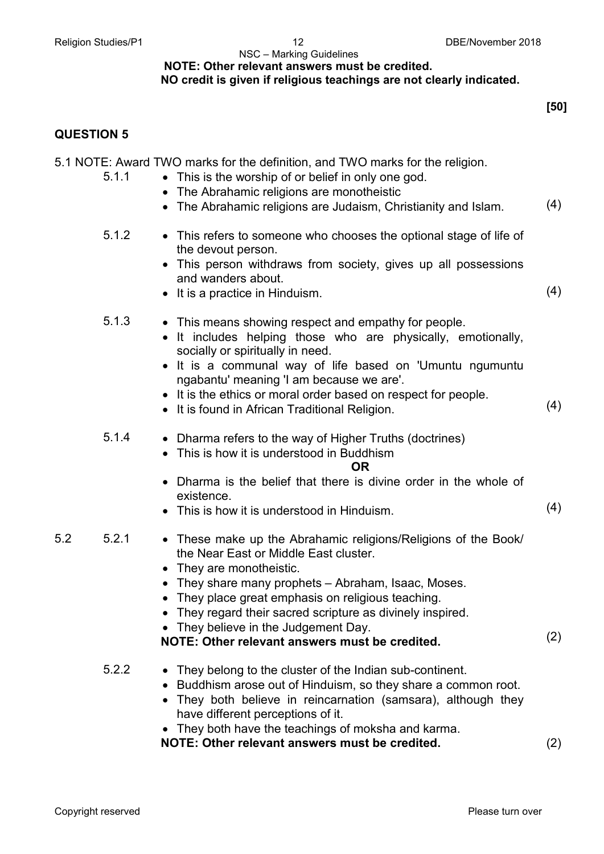#### NSC – Marking Guidelines **NOTE: Other relevant answers must be credited.**

#### **NO credit is given if religious teachings are not clearly indicated.**

**[50]**

#### **QUESTION 5**

| 5.1.1        | 5.1 NOTE: Award TWO marks for the definition, and TWO marks for the religion.<br>• This is the worship of or belief in only one god.<br>The Abrahamic religions are monotheistic                                                                             |     |
|--------------|--------------------------------------------------------------------------------------------------------------------------------------------------------------------------------------------------------------------------------------------------------------|-----|
|              | The Abrahamic religions are Judaism, Christianity and Islam.                                                                                                                                                                                                 | (4) |
| 5.1.2        | • This refers to someone who chooses the optional stage of life of<br>the devout person.<br>This person withdraws from society, gives up all possessions                                                                                                     |     |
|              | and wanders about.<br>• It is a practice in Hinduism.                                                                                                                                                                                                        | (4) |
| 5.1.3        | • This means showing respect and empathy for people.<br>It includes helping those who are physically, emotionally,<br>socially or spiritually in need.<br>It is a communal way of life based on 'Umuntu ngumuntu<br>ngabantu' meaning 'I am because we are'. |     |
|              | • It is the ethics or moral order based on respect for people.<br>• It is found in African Traditional Religion.                                                                                                                                             | (4) |
| 5.1.4        | • Dharma refers to the way of Higher Truths (doctrines)<br>This is how it is understood in Buddhism<br><b>OR</b>                                                                                                                                             |     |
|              | Dharma is the belief that there is divine order in the whole of<br>existence.<br>• This is how it is understood in Hinduism.                                                                                                                                 | (4) |
| 5.2<br>5.2.1 | • These make up the Abrahamic religions/Religions of the Book/<br>the Near East or Middle East cluster.<br>They are monotheistic.<br>• They share many prophets – Abraham, Isaac, Moses.                                                                     |     |
|              | • They place great emphasis on religious teaching.<br>They regard their sacred scripture as divinely inspired.                                                                                                                                               |     |
|              | They believe in the Judgement Day.<br>NOTE: Other relevant answers must be credited.                                                                                                                                                                         | (2) |
| 5.2.2        | • They belong to the cluster of the Indian sub-continent.<br>Buddhism arose out of Hinduism, so they share a common root.<br>They both believe in reincarnation (samsara), although they<br>have different perceptions of it.                                |     |
|              | • They both have the teachings of moksha and karma.<br>NOTE: Other relevant answers must be credited.                                                                                                                                                        | (2) |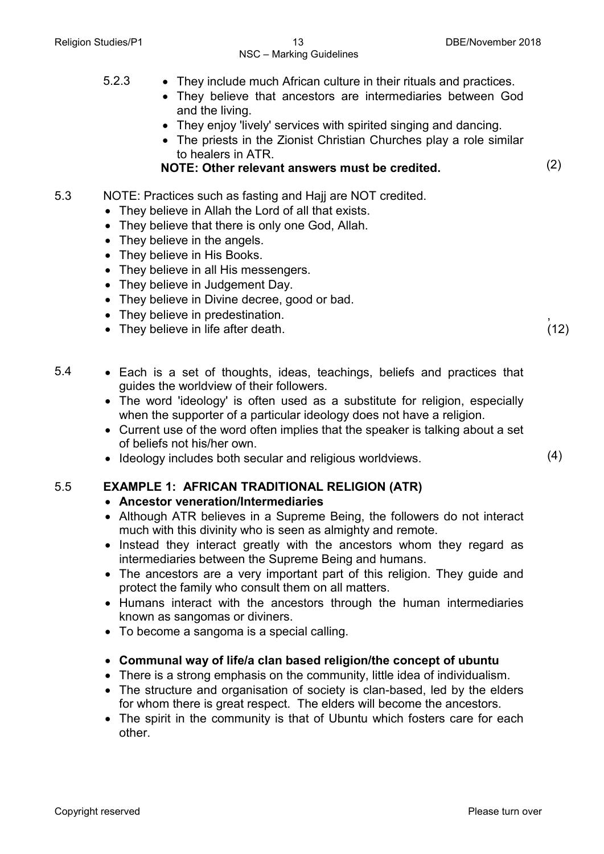#### Religion Studies/P1 13 13 DBE/November 2018 NSC – Marking Guidelines

- 5.2.3 They include much African culture in their rituals and practices.
	- They believe that ancestors are intermediaries between God and the living.
	- They enjoy 'lively' services with spirited singing and dancing.
	- The priests in the Zionist Christian Churches play a role similar to healers in ATR.

**NOTE: Other relevant answers must be credited.** (2)

- 5.3 NOTE: Practices such as fasting and Hajj are NOT credited.
	- They believe in Allah the Lord of all that exists.
	- They believe that there is only one God, Allah.
	- They believe in the angels.
	- They believe in His Books.
	- They believe in all His messengers.
	- They believe in Judgement Day.
	- They believe in Divine decree, good or bad.
	- They believe in predestination.
	- They believe in life after death.
- 5.4 Each is a set of thoughts, ideas, teachings, beliefs and practices that guides the worldview of their followers.
	- The word 'ideology' is often used as a substitute for religion, especially when the supporter of a particular ideology does not have a religion.
	- Current use of the word often implies that the speaker is talking about a set of beliefs not his/her own.
	- Ideology includes both secular and religious worldviews. (4)

#### 5.5 **EXAMPLE 1: AFRICAN TRADITIONAL RELIGION (ATR)**

#### • **Ancestor veneration/Intermediaries**

- Although ATR believes in a Supreme Being, the followers do not interact much with this divinity who is seen as almighty and remote.
- Instead they interact greatly with the ancestors whom they regard as intermediaries between the Supreme Being and humans.
- The ancestors are a very important part of this religion. They guide and protect the family who consult them on all matters.
- Humans interact with the ancestors through the human intermediaries known as sangomas or diviners.
- To become a sangoma is a special calling.
- **Communal way of life/a clan based religion/the concept of ubuntu**
- There is a strong emphasis on the community, little idea of individualism.
- The structure and organisation of society is clan-based, led by the elders for whom there is great respect. The elders will become the ancestors.
- The spirit in the community is that of Ubuntu which fosters care for each other.

,  $(12)$